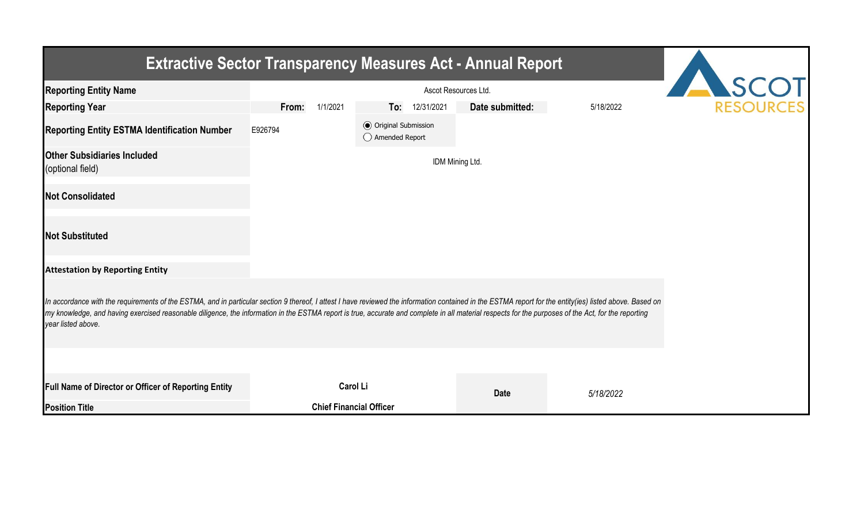| <b>Extractive Sector Transparency Measures Act - Annual Report</b>                                                                                                                                                                                                                                                                                                                                                                    |                   |                                                  |                 |           |  |  |  |  |  |  |
|---------------------------------------------------------------------------------------------------------------------------------------------------------------------------------------------------------------------------------------------------------------------------------------------------------------------------------------------------------------------------------------------------------------------------------------|-------------------|--------------------------------------------------|-----------------|-----------|--|--|--|--|--|--|
| <b>Reporting Entity Name</b>                                                                                                                                                                                                                                                                                                                                                                                                          |                   | SCOT                                             |                 |           |  |  |  |  |  |  |
| <b>Reporting Year</b>                                                                                                                                                                                                                                                                                                                                                                                                                 | 1/1/2021<br>From: | 12/31/2021<br>To:                                | Date submitted: | 5/18/2022 |  |  |  |  |  |  |
| <b>Reporting Entity ESTMA Identification Number</b>                                                                                                                                                                                                                                                                                                                                                                                   | E926794           | <b>⊙</b> Original Submission<br>◯ Amended Report |                 |           |  |  |  |  |  |  |
| <b>Other Subsidiaries Included</b><br>(optional field)                                                                                                                                                                                                                                                                                                                                                                                |                   |                                                  | IDM Mining Ltd. |           |  |  |  |  |  |  |
| <b>Not Consolidated</b>                                                                                                                                                                                                                                                                                                                                                                                                               |                   |                                                  |                 |           |  |  |  |  |  |  |
| <b>Not Substituted</b>                                                                                                                                                                                                                                                                                                                                                                                                                |                   |                                                  |                 |           |  |  |  |  |  |  |
| <b>Attestation by Reporting Entity</b>                                                                                                                                                                                                                                                                                                                                                                                                |                   |                                                  |                 |           |  |  |  |  |  |  |
| In accordance with the requirements of the ESTMA, and in particular section 9 thereof, I attest I have reviewed the information contained in the ESTMA report for the entity(ies) listed above. Based on<br>my knowledge, and having exercised reasonable diligence, the information in the ESTMA report is true, accurate and complete in all material respects for the purposes of the Act, for the reporting<br>year listed above. |                   |                                                  |                 |           |  |  |  |  |  |  |
|                                                                                                                                                                                                                                                                                                                                                                                                                                       |                   |                                                  |                 |           |  |  |  |  |  |  |
| Full Name of Director or Officer of Reporting Entity                                                                                                                                                                                                                                                                                                                                                                                  |                   | <b>Carol Li</b>                                  | <b>Date</b>     | 5/18/2022 |  |  |  |  |  |  |
| <b>Position Title</b>                                                                                                                                                                                                                                                                                                                                                                                                                 |                   | <b>Chief Financial Officer</b>                   |                 |           |  |  |  |  |  |  |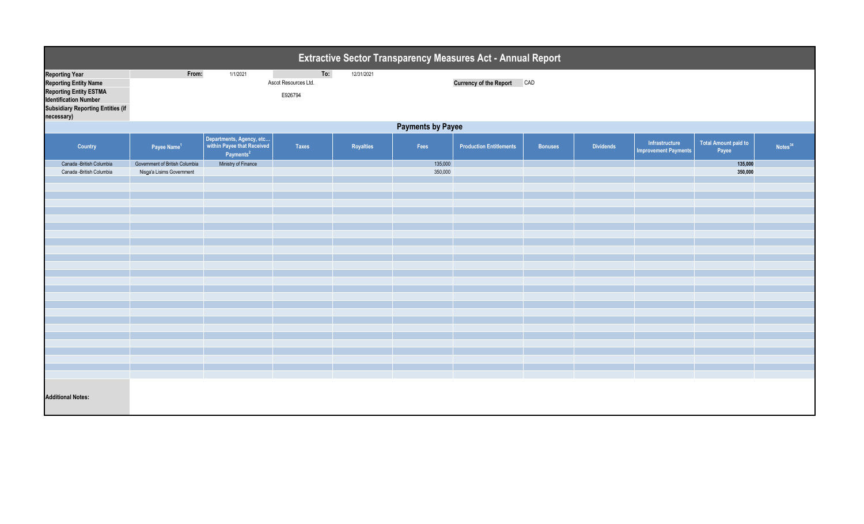| Extractive Sector Transparency Measures Act - Annual Report                                                                                                                      |                                |                                                                                 |                                        |            |         |                                   |                |                  |                                               |                                      |                     |
|----------------------------------------------------------------------------------------------------------------------------------------------------------------------------------|--------------------------------|---------------------------------------------------------------------------------|----------------------------------------|------------|---------|-----------------------------------|----------------|------------------|-----------------------------------------------|--------------------------------------|---------------------|
| <b>Reporting Year</b><br><b>Reporting Entity Name</b><br><b>Reporting Entity ESTMA</b><br><b>Identification Number</b><br><b>Subsidiary Reporting Entities (if</b><br>necessary) | From:                          | 1/1/2021                                                                        | To:<br>Ascot Resources Ltd.<br>E926794 | 12/31/2021 |         | <b>Currency of the Report CAD</b> |                |                  |                                               |                                      |                     |
|                                                                                                                                                                                  | <b>Payments by Payee</b>       |                                                                                 |                                        |            |         |                                   |                |                  |                                               |                                      |                     |
| Country                                                                                                                                                                          | Payee Name <sup>1</sup>        | Departments, Agency, etc<br>within Payee that Received<br>Payments <sup>2</sup> | Taxes                                  | Royalties  | Fees    | <b>Production Entitlements</b>    | <b>Bonuses</b> | <b>Dividends</b> | Infrastructure<br><b>Improvement Payments</b> | <b>Total Amount paid to</b><br>Payee | Notes <sup>34</sup> |
| Canada -British Columbia                                                                                                                                                         | Government of British Columbia | Ministry of Finance                                                             |                                        |            | 135,000 |                                   |                |                  |                                               | 135,000                              |                     |
| Canada -British Columbia                                                                                                                                                         | Nisga'a Lisims Government      |                                                                                 |                                        |            | 350,000 |                                   |                |                  |                                               | 350,000                              |                     |
|                                                                                                                                                                                  |                                |                                                                                 |                                        |            |         |                                   |                |                  |                                               |                                      |                     |
|                                                                                                                                                                                  |                                |                                                                                 |                                        |            |         |                                   |                |                  |                                               |                                      |                     |
|                                                                                                                                                                                  |                                |                                                                                 |                                        |            |         |                                   |                |                  |                                               |                                      |                     |
|                                                                                                                                                                                  |                                |                                                                                 |                                        |            |         |                                   |                |                  |                                               |                                      |                     |
|                                                                                                                                                                                  |                                |                                                                                 |                                        |            |         |                                   |                |                  |                                               |                                      |                     |
|                                                                                                                                                                                  |                                |                                                                                 |                                        |            |         |                                   |                |                  |                                               |                                      |                     |
|                                                                                                                                                                                  |                                |                                                                                 |                                        |            |         |                                   |                |                  |                                               |                                      |                     |
|                                                                                                                                                                                  |                                |                                                                                 |                                        |            |         |                                   |                |                  |                                               |                                      |                     |
|                                                                                                                                                                                  |                                |                                                                                 |                                        |            |         |                                   |                |                  |                                               |                                      |                     |
|                                                                                                                                                                                  |                                |                                                                                 |                                        |            |         |                                   |                |                  |                                               |                                      |                     |
|                                                                                                                                                                                  |                                |                                                                                 |                                        |            |         |                                   |                |                  |                                               |                                      |                     |
|                                                                                                                                                                                  |                                |                                                                                 |                                        |            |         |                                   |                |                  |                                               |                                      |                     |
|                                                                                                                                                                                  |                                |                                                                                 |                                        |            |         |                                   |                |                  |                                               |                                      |                     |
|                                                                                                                                                                                  |                                |                                                                                 |                                        |            |         |                                   |                |                  |                                               |                                      |                     |
|                                                                                                                                                                                  |                                |                                                                                 |                                        |            |         |                                   |                |                  |                                               |                                      |                     |
|                                                                                                                                                                                  |                                |                                                                                 |                                        |            |         |                                   |                |                  |                                               |                                      |                     |
|                                                                                                                                                                                  |                                |                                                                                 |                                        |            |         |                                   |                |                  |                                               |                                      |                     |
|                                                                                                                                                                                  |                                |                                                                                 |                                        |            |         |                                   |                |                  |                                               |                                      |                     |
|                                                                                                                                                                                  |                                |                                                                                 |                                        |            |         |                                   |                |                  |                                               |                                      |                     |
|                                                                                                                                                                                  |                                |                                                                                 |                                        |            |         |                                   |                |                  |                                               |                                      |                     |
|                                                                                                                                                                                  |                                |                                                                                 |                                        |            |         |                                   |                |                  |                                               |                                      |                     |
|                                                                                                                                                                                  |                                |                                                                                 |                                        |            |         |                                   |                |                  |                                               |                                      |                     |
| <b>Additional Notes:</b>                                                                                                                                                         |                                |                                                                                 |                                        |            |         |                                   |                |                  |                                               |                                      |                     |